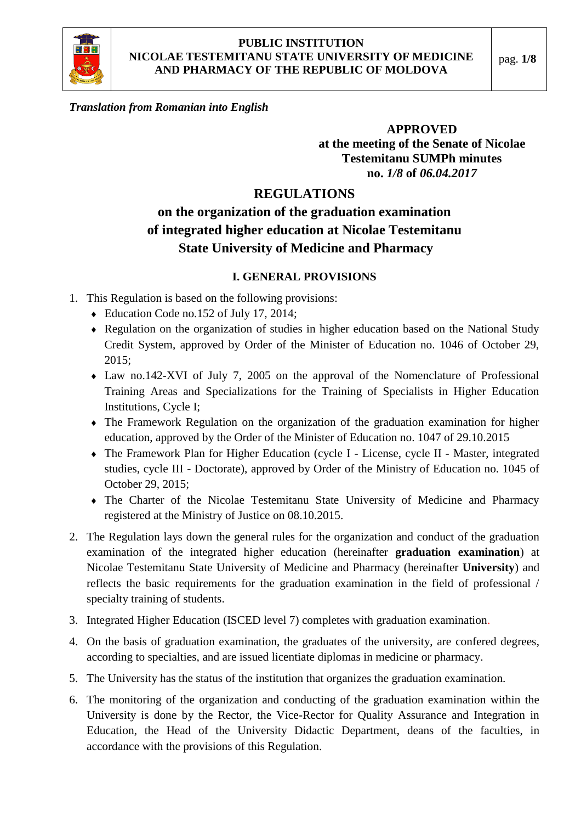

*Translation from Romanian into English*

## **APPROVED at the meeting of the Senate of Nicolae Testemitanu SUMPh minutes no.** *1/8* **of** *06.04.2017*

# **REGULATIONS**

# **on the organization of the graduation examination of integrated higher education at Nicolae Testemitanu State University of Medicine and Pharmacy**

#### **I. GENERAL PROVISIONS**

- 1. This Regulation is based on the following provisions:
	- Education Code no.152 of July 17, 2014;
	- Regulation on the organization of studies in higher education based on the National Study Credit System, approved by Order of the Minister of Education no. 1046 of October 29, 2015;
	- Law no.142-XVI of July 7, 2005 on the approval of the Nomenclature of Professional Training Areas and Specializations for the Training of Specialists in Higher Education Institutions, Cycle I;
	- The Framework Regulation on the organization of the graduation examination for higher education, approved by the Order of the Minister of Education no. 1047 of 29.10.2015
	- The Framework Plan for Higher Education (cycle I License, cycle II Master, integrated studies, cycle III - Doctorate), approved by Order of the Ministry of Education no. 1045 of October 29, 2015;
	- The Charter of the Nicolae Testemitanu State University of Medicine and Pharmacy registered at the Ministry of Justice on 08.10.2015.
- 2. The Regulation lays down the general rules for the organization and conduct of the graduation examination of the integrated higher education (hereinafter **graduation examination**) at Nicolae Testemitanu State University of Medicine and Pharmacy (hereinafter **University**) and reflects the basic requirements for the graduation examination in the field of professional / specialty training of students.
- 3. Integrated Higher Education (ISCED level 7) completes with graduation examination.
- 4. On the basis of graduation examination, the graduates of the university, are confered degrees, according to specialties, and are issued licentiate diplomas in medicine or pharmacy.
- 5. The University has the status of the institution that organizes the graduation examination.
- 6. The monitoring of the organization and conducting of the graduation examination within the University is done by the Rector, the Vice-Rector for Quality Assurance and Integration in Education, the Head of the University Didactic Department, deans of the faculties, in accordance with the provisions of this Regulation.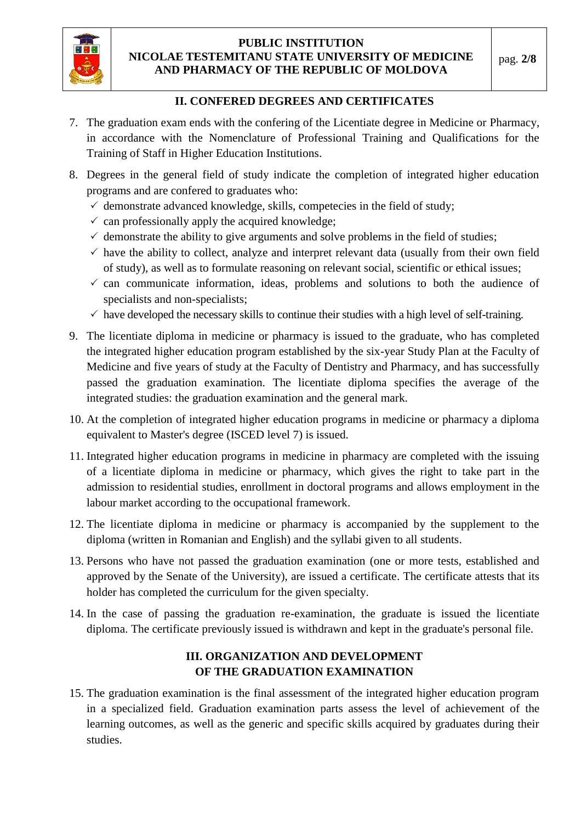

#### **II. CONFERED DEGREES AND CERTIFICATES**

- 7. The graduation exam ends with the confering of the Licentiate degree in Medicine or Pharmacy, in accordance with the Nomenclature of Professional Training and Qualifications for the Training of Staff in Higher Education Institutions.
- 8. Degrees in the general field of study indicate the completion of integrated higher education programs and are confered to graduates who:
	- $\checkmark$  demonstrate advanced knowledge, skills, competecies in the field of study;
	- $\checkmark$  can professionally apply the acquired knowledge;
	- $\checkmark$  demonstrate the ability to give arguments and solve problems in the field of studies;
	- $\checkmark$  have the ability to collect, analyze and interpret relevant data (usually from their own field of study), as well as to formulate reasoning on relevant social, scientific or ethical issues;
	- $\checkmark$  can communicate information, ideas, problems and solutions to both the audience of specialists and non-specialists;
	- $\checkmark$  have developed the necessary skills to continue their studies with a high level of self-training.
- 9. The licentiate diploma in medicine or pharmacy is issued to the graduate, who has completed the integrated higher education program established by the six-year Study Plan at the Faculty of Medicine and five years of study at the Faculty of Dentistry and Pharmacy, and has successfully passed the graduation examination. The licentiate diploma specifies the average of the integrated studies: the graduation examination and the general mark.
- 10. At the completion of integrated higher education programs in medicine or pharmacy a diploma equivalent to Master's degree (ISCED level 7) is issued.
- 11. Integrated higher education programs in medicine in pharmacy are completed with the issuing of a licentiate diploma in medicine or pharmacy, which gives the right to take part in the admission to residential studies, enrollment in doctoral programs and allows employment in the labour market according to the occupational framework.
- 12. The licentiate diploma in medicine or pharmacy is accompanied by the supplement to the diploma (written in Romanian and English) and the syllabi given to all students.
- 13. Persons who have not passed the graduation examination (one or more tests, established and approved by the Senate of the University), are issued a certificate. The certificate attests that its holder has completed the curriculum for the given specialty.
- 14. In the case of passing the graduation re-examination, the graduate is issued the licentiate diploma. The certificate previously issued is withdrawn and kept in the graduate's personal file.

## **III. ORGANIZATION AND DEVELOPMENT OF THE GRADUATION EXAMINATION**

15. The graduation examination is the final assessment of the integrated higher education program in a specialized field. Graduation examination parts assess the level of achievement of the learning outcomes, as well as the generic and specific skills acquired by graduates during their studies.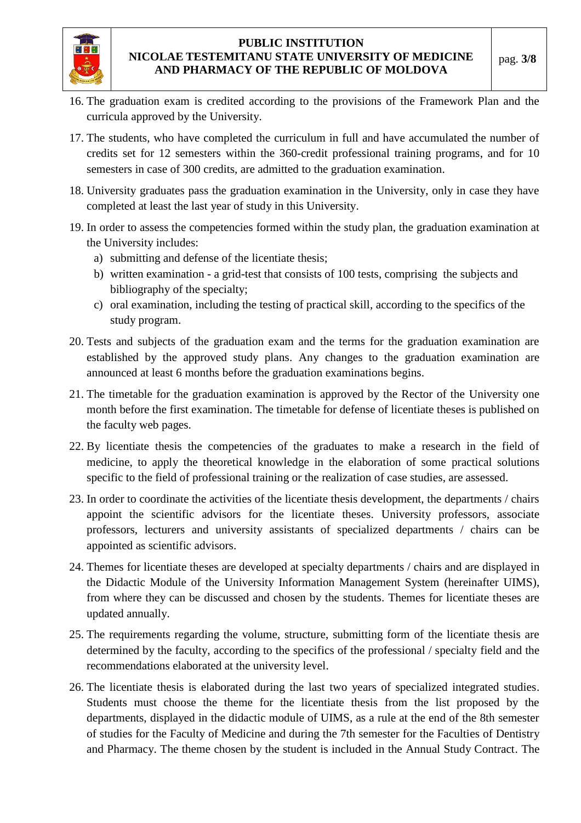

- 16. The graduation exam is credited according to the provisions of the Framework Plan and the curricula approved by the University.
- 17. The students, who have completed the curriculum in full and have accumulated the number of credits set for 12 semesters within the 360-credit professional training programs, and for 10 semesters in case of 300 credits, are admitted to the graduation examination.
- 18. University graduates pass the graduation examination in the University, only in case they have completed at least the last year of study in this University.
- 19. In order to assess the competencies formed within the study plan, the graduation examination at the University includes:
	- a) submitting and defense of the licentiate thesis;
	- b) written examination a grid-test that consists of 100 tests, comprising the subjects and bibliography of the specialty;
	- c) oral examination, including the testing of practical skill, according to the specifics of the study program.
- 20. Tests and subjects of the graduation exam and the terms for the graduation examination are established by the approved study plans. Any changes to the graduation examination are announced at least 6 months before the graduation examinations begins.
- 21. The timetable for the graduation examination is approved by the Rector of the University one month before the first examination. The timetable for defense of licentiate theses is published on the faculty web pages.
- 22. By licentiate thesis the competencies of the graduates to make a research in the field of medicine, to apply the theoretical knowledge in the elaboration of some practical solutions specific to the field of professional training or the realization of case studies, are assessed.
- 23. In order to coordinate the activities of the licentiate thesis development, the departments / chairs appoint the scientific advisors for the licentiate theses. University professors, associate professors, lecturers and university assistants of specialized departments / chairs can be appointed as scientific advisors.
- 24. Themes for licentiate theses are developed at specialty departments / chairs and are displayed in the Didactic Module of the University Information Management System (hereinafter UIMS), from where they can be discussed and chosen by the students. Themes for licentiate theses are updated annually.
- 25. The requirements regarding the volume, structure, submitting form of the licentiate thesis are determined by the faculty, according to the specifics of the professional / specialty field and the recommendations elaborated at the university level.
- 26. The licentiate thesis is elaborated during the last two years of specialized integrated studies. Students must choose the theme for the licentiate thesis from the list proposed by the departments, displayed in the didactic module of UIMS, as a rule at the end of the 8th semester of studies for the Faculty of Medicine and during the 7th semester for the Faculties of Dentistry and Pharmacy. The theme chosen by the student is included in the Annual Study Contract. The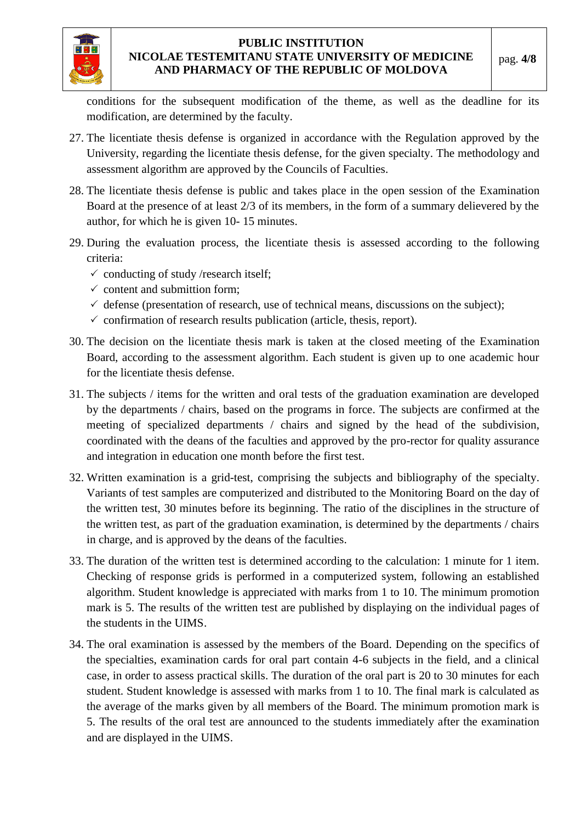

conditions for the subsequent modification of the theme, as well as the deadline for its modification, are determined by the faculty.

- 27. The licentiate thesis defense is organized in accordance with the Regulation approved by the University, regarding the licentiate thesis defense, for the given specialty. The methodology and assessment algorithm are approved by the Councils of Faculties.
- 28. The licentiate thesis defense is public and takes place in the open session of the Examination Board at the presence of at least 2/3 of its members, in the form of a summary delievered by the author, for which he is given 10- 15 minutes.
- 29. During the evaluation process, the licentiate thesis is assessed according to the following criteria:
	- $\checkmark$  conducting of study /research itself;
	- $\checkmark$  content and submittion form:
	- $\checkmark$  defense (presentation of research, use of technical means, discussions on the subject);
	- $\checkmark$  confirmation of research results publication (article, thesis, report).
- 30. The decision on the licentiate thesis mark is taken at the closed meeting of the Examination Board, according to the assessment algorithm. Each student is given up to one academic hour for the licentiate thesis defense.
- 31. The subjects / items for the written and oral tests of the graduation examination are developed by the departments / chairs, based on the programs in force. The subjects are confirmed at the meeting of specialized departments / chairs and signed by the head of the subdivision, coordinated with the deans of the faculties and approved by the pro-rector for quality assurance and integration in education one month before the first test.
- 32. Written examination is a grid-test, comprising the subjects and bibliography of the specialty. Variants of test samples are computerized and distributed to the Monitoring Board on the day of the written test, 30 minutes before its beginning. The ratio of the disciplines in the structure of the written test, as part of the graduation examination, is determined by the departments / chairs in charge, and is approved by the deans of the faculties.
- 33. The duration of the written test is determined according to the calculation: 1 minute for 1 item. Checking of response grids is performed in a computerized system, following an established algorithm. Student knowledge is appreciated with marks from 1 to 10. The minimum promotion mark is 5. The results of the written test are published by displaying on the individual pages of the students in the UIMS.
- 34. The oral examination is assessed by the members of the Board. Depending on the specifics of the specialties, examination cards for oral part contain 4-6 subjects in the field, and a clinical case, in order to assess practical skills. The duration of the oral part is 20 to 30 minutes for each student. Student knowledge is assessed with marks from 1 to 10. The final mark is calculated as the average of the marks given by all members of the Board. The minimum promotion mark is 5. The results of the oral test are announced to the students immediately after the examination and are displayed in the UIMS.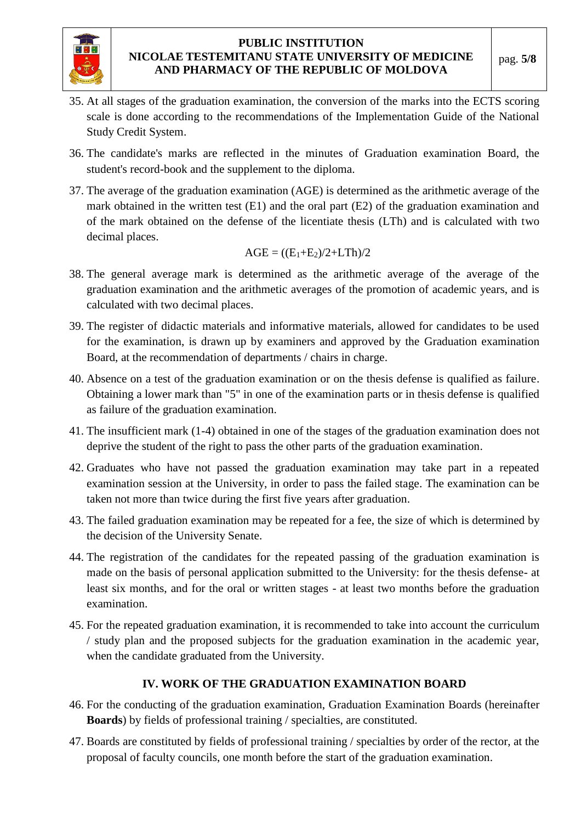

- 35. At all stages of the graduation examination, the conversion of the marks into the ECTS scoring scale is done according to the recommendations of the Implementation Guide of the National Study Credit System.
- 36. The candidate's marks are reflected in the minutes of Graduation examination Board, the student's record-book and the supplement to the diploma.
- 37. The average of the graduation examination (AGE) is determined as the arithmetic average of the mark obtained in the written test (E1) and the oral part (E2) of the graduation examination and of the mark obtained on the defense of the licentiate thesis (LTh) and is calculated with two decimal places.

$$
AGE = ((E_1+E_2)/2+LTh)/2
$$

- 38. The general average mark is determined as the arithmetic average of the average of the graduation examination and the arithmetic averages of the promotion of academic years, and is calculated with two decimal places.
- 39. The register of didactic materials and informative materials, allowed for candidates to be used for the examination, is drawn up by examiners and approved by the Graduation examination Board, at the recommendation of departments / chairs in charge.
- 40. Absence on a test of the graduation examination or on the thesis defense is qualified as failure. Obtaining a lower mark than "5" in one of the examination parts or in thesis defense is qualified as failure of the graduation examination.
- 41. The insufficient mark (1-4) obtained in one of the stages of the graduation examination does not deprive the student of the right to pass the other parts of the graduation examination.
- 42. Graduates who have not passed the graduation examination may take part in a repeated examination session at the University, in order to pass the failed stage. The examination can be taken not more than twice during the first five years after graduation.
- 43. The failed graduation examination may be repeated for a fee, the size of which is determined by the decision of the University Senate.
- 44. The registration of the candidates for the repeated passing of the graduation examination is made on the basis of personal application submitted to the University: for the thesis defense- at least six months, and for the oral or written stages - at least two months before the graduation examination.
- 45. For the repeated graduation examination, it is recommended to take into account the curriculum / study plan and the proposed subjects for the graduation examination in the academic year, when the candidate graduated from the University.

#### **IV. WORK OF THE GRADUATION EXAMINATION BOARD**

- 46. For the conducting of the graduation examination, Graduation Examination Boards (hereinafter **Boards**) by fields of professional training / specialties, are constituted.
- 47. Boards are constituted by fields of professional training / specialties by order of the rector, at the proposal of faculty councils, one month before the start of the graduation examination.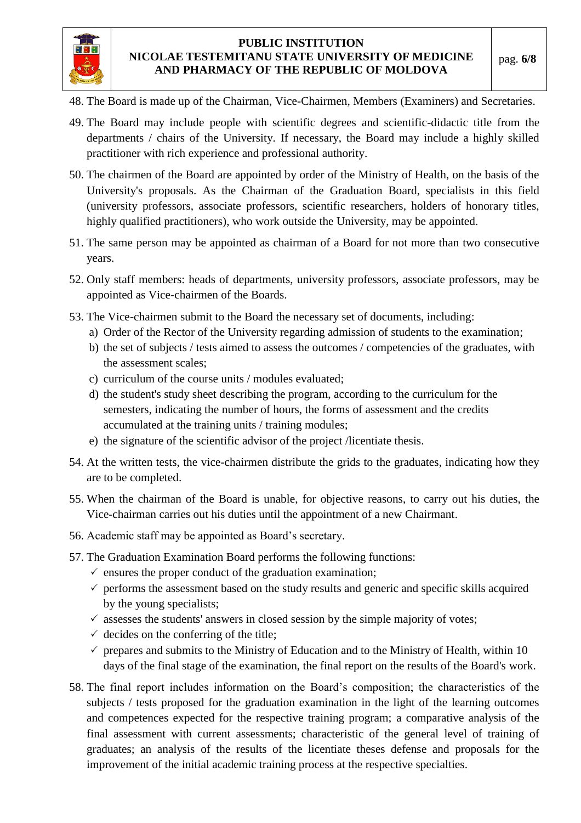

- 48. The Board is made up of the Chairman, Vice-Chairmen, Members (Examiners) and Secretaries.
- 49. The Board may include people with scientific degrees and scientific-didactic title from the departments / chairs of the University. If necessary, the Board may include a highly skilled practitioner with rich experience and professional authority.
- 50. The chairmen of the Board are appointed by order of the Ministry of Health, on the basis of the University's proposals. As the Chairman of the Graduation Board, specialists in this field (university professors, associate professors, scientific researchers, holders of honorary titles, highly qualified practitioners), who work outside the University, may be appointed.
- 51. The same person may be appointed as chairman of a Board for not more than two consecutive years.
- 52. Only staff members: heads of departments, university professors, associate professors, may be appointed as Vice-chairmen of the Boards.
- 53. The Vice-chairmen submit to the Board the necessary set of documents, including:
	- a) Order of the Rector of the University regarding admission of students to the examination;
	- b) the set of subjects / tests aimed to assess the outcomes / competencies of the graduates, with the assessment scales;
	- c) curriculum of the course units / modules evaluated;
	- d) the student's study sheet describing the program, according to the curriculum for the semesters, indicating the number of hours, the forms of assessment and the credits accumulated at the training units / training modules;
	- e) the signature of the scientific advisor of the project /licentiate thesis.
- 54. At the written tests, the vice-chairmen distribute the grids to the graduates, indicating how they are to be completed.
- 55. When the chairman of the Board is unable, for objective reasons, to carry out his duties, the Vice-chairman carries out his duties until the appointment of a new Chairmant.
- 56. Academic staff may be appointed as Board's secretary.
- 57. The Graduation Examination Board performs the following functions:
	- $\checkmark$  ensures the proper conduct of the graduation examination;
	- $\checkmark$  performs the assessment based on the study results and generic and specific skills acquired by the young specialists;
	- $\checkmark$  assesses the students' answers in closed session by the simple majority of votes;
	- $\checkmark$  decides on the conferring of the title;
	- $\checkmark$  prepares and submits to the Ministry of Education and to the Ministry of Health, within 10 days of the final stage of the examination, the final report on the results of the Board's work.
- 58. The final report includes information on the Board's composition; the characteristics of the subjects / tests proposed for the graduation examination in the light of the learning outcomes and competences expected for the respective training program; a comparative analysis of the final assessment with current assessments; characteristic of the general level of training of graduates; an analysis of the results of the licentiate theses defense and proposals for the improvement of the initial academic training process at the respective specialties.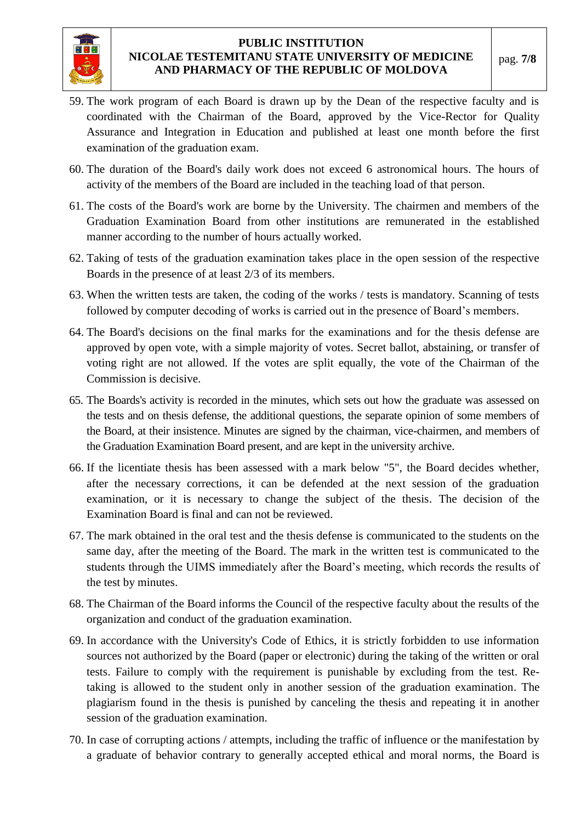

- 59. The work program of each Board is drawn up by the Dean of the respective faculty and is coordinated with the Chairman of the Board, approved by the Vice-Rector for Quality Assurance and Integration in Education and published at least one month before the first examination of the graduation exam.
- 60. The duration of the Board's daily work does not exceed 6 astronomical hours. The hours of activity of the members of the Board are included in the teaching load of that person.
- 61. The costs of the Board's work are borne by the University. The chairmen and members of the Graduation Examination Board from other institutions are remunerated in the established manner according to the number of hours actually worked.
- 62. Taking of tests of the graduation examination takes place in the open session of the respective Boards in the presence of at least 2/3 of its members.
- 63. When the written tests are taken, the coding of the works / tests is mandatory. Scanning of tests followed by computer decoding of works is carried out in the presence of Board's members.
- 64. The Board's decisions on the final marks for the examinations and for the thesis defense are approved by open vote, with a simple majority of votes. Secret ballot, abstaining, or transfer of voting right are not allowed. If the votes are split equally, the vote of the Chairman of the Commission is decisive.
- 65. The Boards's activity is recorded in the minutes, which sets out how the graduate was assessed on the tests and on thesis defense, the additional questions, the separate opinion of some members of the Board, at their insistence. Minutes are signed by the chairman, vice-chairmen, and members of the Graduation Examination Board present, and are kept in the university archive.
- 66. If the licentiate thesis has been assessed with a mark below "5", the Board decides whether, after the necessary corrections, it can be defended at the next session of the graduation examination, or it is necessary to change the subject of the thesis. The decision of the Examination Board is final and can not be reviewed.
- 67. The mark obtained in the oral test and the thesis defense is communicated to the students on the same day, after the meeting of the Board. The mark in the written test is communicated to the students through the UIMS immediately after the Board's meeting, which records the results of the test by minutes.
- 68. The Chairman of the Board informs the Council of the respective faculty about the results of the organization and conduct of the graduation examination.
- 69. In accordance with the University's Code of Ethics, it is strictly forbidden to use information sources not authorized by the Board (paper or electronic) during the taking of the written or oral tests. Failure to comply with the requirement is punishable by excluding from the test. Retaking is allowed to the student only in another session of the graduation examination. The plagiarism found in the thesis is punished by canceling the thesis and repeating it in another session of the graduation examination.
- 70. In case of corrupting actions / attempts, including the traffic of influence or the manifestation by a graduate of behavior contrary to generally accepted ethical and moral norms, the Board is